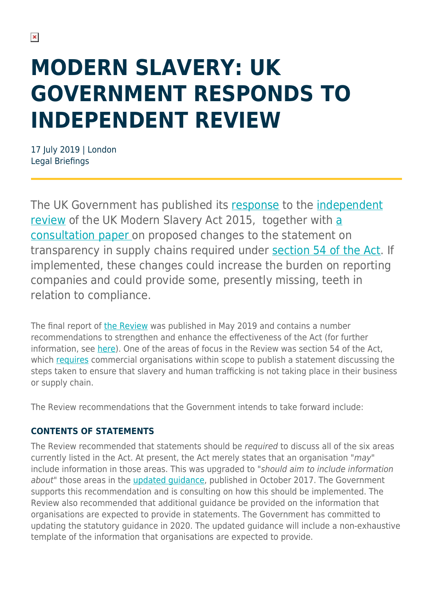# **MODERN SLAVERY: UK GOVERNMENT RESPONDS TO INDEPENDENT REVIEW**

17 July 2019 | London Legal Briefings

The UK Government has published its [response](https://assets.publishing.service.gov.uk/government/uploads/system/uploads/attachment_data/file/815410/Government_Response_to_Independent_Review_of_MS_Act.pdf) to the [independent](https://assets.publishing.service.gov.uk/government/uploads/system/uploads/attachment_data/file/803406/Independent_review_of_the_Modern_Slavery_Act_-_final_report.pdf) [review](https://assets.publishing.service.gov.uk/government/uploads/system/uploads/attachment_data/file/803406/Independent_review_of_the_Modern_Slavery_Act_-_final_report.pdf) of the UK Modern Slavery Act 2015, together with [a](https://assets.publishing.service.gov.uk/government/uploads/system/uploads/attachment_data/file/815362/transparency_in_supply_chains_consultation.pdf) [consultation paper o](https://assets.publishing.service.gov.uk/government/uploads/system/uploads/attachment_data/file/815362/transparency_in_supply_chains_consultation.pdf)n proposed changes to the statement on transparency in supply chains required under [section 54 of the Act.](http://www.legislation.gov.uk/ukpga/2015/30/section/54/enacted) If implemented, these changes could increase the burden on reporting companies and could provide some, presently missing, teeth in relation to compliance.

The final report of [the Review](https://assets.publishing.service.gov.uk/government/uploads/system/uploads/attachment_data/file/803406/Independent_review_of_the_Modern_Slavery_Act_-_final_report.pdf) was published in May 2019 and contains a number recommendations to strengthen and enhance the effectiveness of the Act (for further information, see [here\)](https://sites-herbertsmithfreehills.vuturevx.com/37/20048/compose-email/corporate-update---issue-no.-2019-11.asp#four). One of the areas of focus in the Review was section 54 of the Act, which [requires](https://www.herbertsmithfreehills.com/latest-thinking/modern-slavery-poses-new-challenges-for-business) commercial organisations within scope to publish a statement discussing the steps taken to ensure that slavery and human trafficking is not taking place in their business or supply chain.

The Review recommendations that the Government intends to take forward include:

### **CONTENTS OF STATEMENTS**

The Review recommended that statements should be required to discuss all of the six areas currently listed in the Act. At present, the Act merely states that an organisation "may" include information in those areas. This was upgraded to "should aim to include information about" those areas in the updated quidance, published in October 2017. The Government supports this recommendation and is consulting on how this should be implemented. The Review also recommended that additional guidance be provided on the information that organisations are expected to provide in statements. The Government has committed to updating the statutory guidance in 2020. The updated guidance will include a non-exhaustive template of the information that organisations are expected to provide.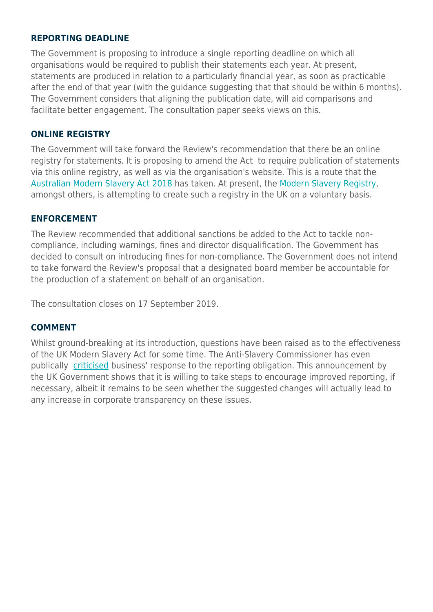#### **REPORTING DEADLINE**

The Government is proposing to introduce a single reporting deadline on which all organisations would be required to publish their statements each year. At present, statements are produced in relation to a particularly financial year, as soon as practicable after the end of that year (with the guidance suggesting that that should be within 6 months). The Government considers that aligning the publication date, will aid comparisons and facilitate better engagement. The consultation paper seeks views on this.

#### **ONLINE REGISTRY**

The Government will take forward the Review's recommendation that there be an online registry for statements. It is proposing to amend the Act to require publication of statements via this online registry, as well as via the organisation's website. This is a route that the [Australian Modern Slavery Act 2018](https://www.legislation.gov.au/Details/C2018A00153) has taken. At present, the [Modern Slavery Registry](https://www.herbertsmithfreehills.com/This%2520was%2520a%2520measure%2520that%2520civil%2520society%2520pushed%2520for%2520at%2520the%2520outset.%2520At%2520present%2C%2520the%2520Modern%2520Slavery%2520Registry%2520is%2520attempting%2520to%2520create), amongst others, is attempting to create such a registry in the UK on a voluntary basis.

#### **ENFORCEMENT**

The Review recommended that additional sanctions be added to the Act to tackle noncompliance, including warnings, fines and director disqualification. The Government has decided to consult on introducing fines for non-compliance. The Government does not intend to take forward the Review's proposal that a designated board member be accountable for the production of a statement on behalf of an organisation.

The consultation closes on 17 September 2019.

#### **COMMENT**

Whilst ground-breaking at its introduction, questions have been raised as to the effectiveness of the UK Modern Slavery Act for some time. The Anti-Slavery Commissioner has even publically [criticised](https://www.herbertsmithfreehills.com/latest-thinking/uk-anti-slavery-commissioner-criticises-business-response-to-modern-slavery) business' response to the reporting obligation. This announcement by the UK Government shows that it is willing to take steps to encourage improved reporting, if necessary, albeit it remains to be seen whether the suggested changes will actually lead to any increase in corporate transparency on these issues.